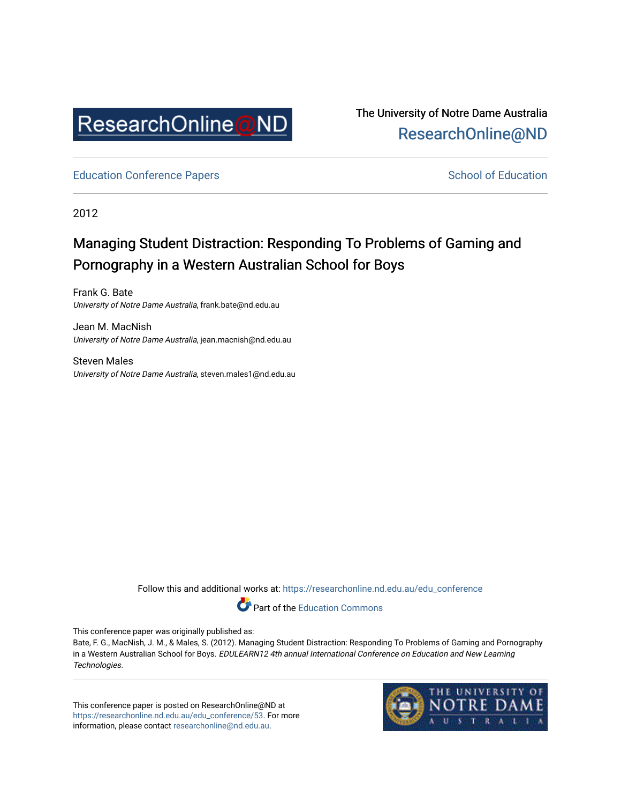

The University of Notre Dame Australia [ResearchOnline@ND](https://researchonline.nd.edu.au/) 

[Education Conference Papers](https://researchonline.nd.edu.au/edu_conference) **School of Education** School of Education

2012

# Managing Student Distraction: Responding To Problems of Gaming and Pornography in a Western Australian School for Boys

Frank G. Bate University of Notre Dame Australia, frank.bate@nd.edu.au

Jean M. MacNish University of Notre Dame Australia, jean.macnish@nd.edu.au

Steven Males University of Notre Dame Australia, steven.males1@nd.edu.au

Follow this and additional works at: [https://researchonline.nd.edu.au/edu\\_conference](https://researchonline.nd.edu.au/edu_conference?utm_source=researchonline.nd.edu.au%2Fedu_conference%2F53&utm_medium=PDF&utm_campaign=PDFCoverPages)

Part of the [Education Commons](http://network.bepress.com/hgg/discipline/784?utm_source=researchonline.nd.edu.au%2Fedu_conference%2F53&utm_medium=PDF&utm_campaign=PDFCoverPages) 

This conference paper was originally published as:

Bate, F. G., MacNish, J. M., & Males, S. (2012). Managing Student Distraction: Responding To Problems of Gaming and Pornography in a Western Australian School for Boys. EDULEARN12 4th annual International Conference on Education and New Learning Technologies.

This conference paper is posted on ResearchOnline@ND at [https://researchonline.nd.edu.au/edu\\_conference/53.](https://researchonline.nd.edu.au/edu_conference/53) For more information, please contact [researchonline@nd.edu.au.](mailto:researchonline@nd.edu.au)

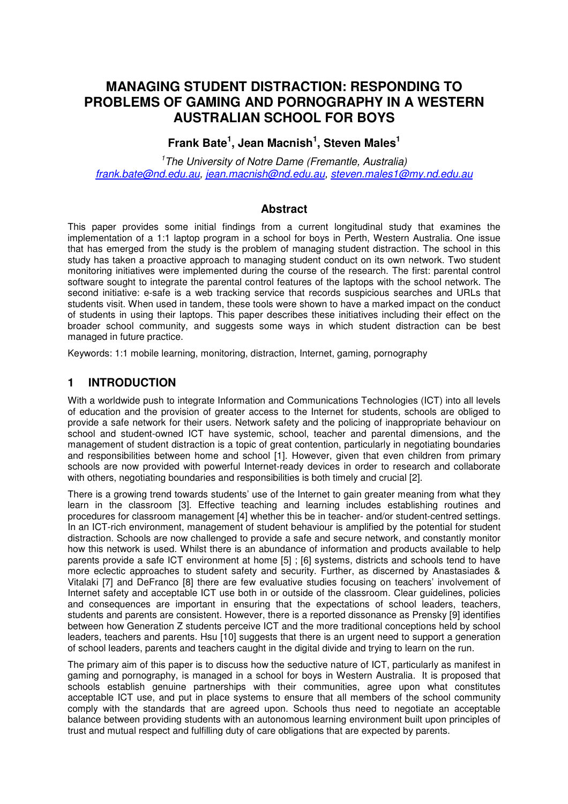# **MANAGING STUDENT DISTRACTION: RESPONDING TO PROBLEMS OF GAMING AND PORNOGRAPHY IN A WESTERN AUSTRALIAN SCHOOL FOR BOYS**

# **Frank Bate<sup>1</sup> , Jean Macnish<sup>1</sup> , Steven Males<sup>1</sup>**

<sup>1</sup>The University of Notre Dame (Fremantle, Australia) frank.bate@nd.edu.au, jean.macnish@nd.edu.au, steven.males1@my.nd.edu.au

## **Abstract**

This paper provides some initial findings from a current longitudinal study that examines the implementation of a 1:1 laptop program in a school for boys in Perth, Western Australia. One issue that has emerged from the study is the problem of managing student distraction. The school in this study has taken a proactive approach to managing student conduct on its own network. Two student monitoring initiatives were implemented during the course of the research. The first: parental control software sought to integrate the parental control features of the laptops with the school network. The second initiative: e-safe is a web tracking service that records suspicious searches and URLs that students visit. When used in tandem, these tools were shown to have a marked impact on the conduct of students in using their laptops. This paper describes these initiatives including their effect on the broader school community, and suggests some ways in which student distraction can be best managed in future practice.

Keywords: 1:1 mobile learning, monitoring, distraction, Internet, gaming, pornography

# **1 INTRODUCTION**

With a worldwide push to integrate Information and Communications Technologies (ICT) into all levels of education and the provision of greater access to the Internet for students, schools are obliged to provide a safe network for their users. Network safety and the policing of inappropriate behaviour on school and student-owned ICT have systemic, school, teacher and parental dimensions, and the management of student distraction is a topic of great contention, particularly in negotiating boundaries and responsibilities between home and school [1]. However, given that even children from primary schools are now provided with powerful Internet-ready devices in order to research and collaborate with others, negotiating boundaries and responsibilities is both timely and crucial [2].

There is a growing trend towards students' use of the Internet to gain greater meaning from what they learn in the classroom [3]. Effective teaching and learning includes establishing routines and procedures for classroom management [4] whether this be in teacher- and/or student-centred settings. In an ICT-rich environment, management of student behaviour is amplified by the potential for student distraction. Schools are now challenged to provide a safe and secure network, and constantly monitor how this network is used. Whilst there is an abundance of information and products available to help parents provide a safe ICT environment at home [5] ; [6] systems, districts and schools tend to have more eclectic approaches to student safety and security. Further, as discerned by Anastasiades & Vitalaki [7] and DeFranco [8] there are few evaluative studies focusing on teachers' involvement of Internet safety and acceptable ICT use both in or outside of the classroom. Clear guidelines, policies and consequences are important in ensuring that the expectations of school leaders, teachers, students and parents are consistent. However, there is a reported dissonance as Prensky [9] identifies between how Generation Z students perceive ICT and the more traditional conceptions held by school leaders, teachers and parents. Hsu [10] suggests that there is an urgent need to support a generation of school leaders, parents and teachers caught in the digital divide and trying to learn on the run.

The primary aim of this paper is to discuss how the seductive nature of ICT, particularly as manifest in gaming and pornography, is managed in a school for boys in Western Australia. It is proposed that schools establish genuine partnerships with their communities, agree upon what constitutes acceptable ICT use, and put in place systems to ensure that all members of the school community comply with the standards that are agreed upon. Schools thus need to negotiate an acceptable balance between providing students with an autonomous learning environment built upon principles of trust and mutual respect and fulfilling duty of care obligations that are expected by parents.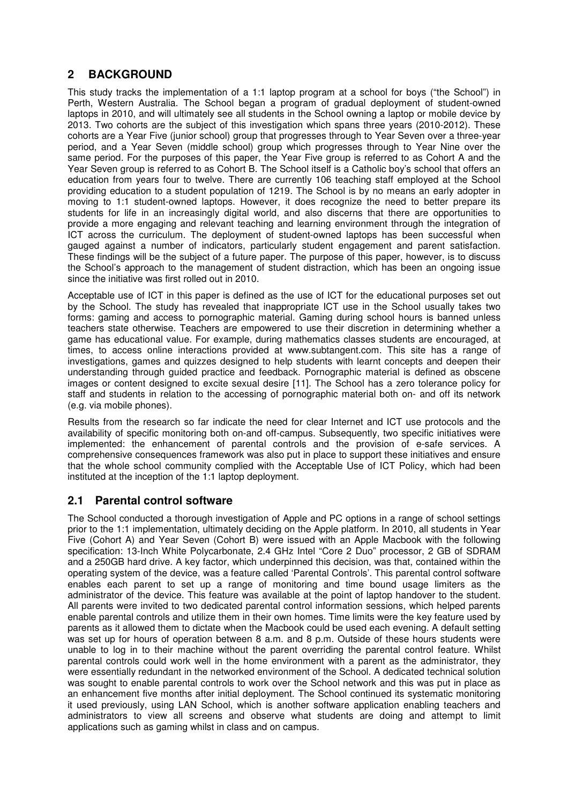# **2 BACKGROUND**

This study tracks the implementation of a 1:1 laptop program at a school for boys ("the School") in Perth, Western Australia. The School began a program of gradual deployment of student-owned laptops in 2010, and will ultimately see all students in the School owning a laptop or mobile device by 2013. Two cohorts are the subject of this investigation which spans three years (2010-2012). These cohorts are a Year Five (junior school) group that progresses through to Year Seven over a three-year period, and a Year Seven (middle school) group which progresses through to Year Nine over the same period. For the purposes of this paper, the Year Five group is referred to as Cohort A and the Year Seven group is referred to as Cohort B. The School itself is a Catholic boy's school that offers an education from years four to twelve. There are currently 106 teaching staff employed at the School providing education to a student population of 1219. The School is by no means an early adopter in moving to 1:1 student-owned laptops. However, it does recognize the need to better prepare its students for life in an increasingly digital world, and also discerns that there are opportunities to provide a more engaging and relevant teaching and learning environment through the integration of ICT across the curriculum. The deployment of student-owned laptops has been successful when gauged against a number of indicators, particularly student engagement and parent satisfaction. These findings will be the subject of a future paper. The purpose of this paper, however, is to discuss the School's approach to the management of student distraction, which has been an ongoing issue since the initiative was first rolled out in 2010.

Acceptable use of ICT in this paper is defined as the use of ICT for the educational purposes set out by the School. The study has revealed that inappropriate ICT use in the School usually takes two forms: gaming and access to pornographic material. Gaming during school hours is banned unless teachers state otherwise. Teachers are empowered to use their discretion in determining whether a game has educational value. For example, during mathematics classes students are encouraged, at times, to access online interactions provided at www.subtangent.com. This site has a range of investigations, games and quizzes designed to help students with learnt concepts and deepen their understanding through guided practice and feedback. Pornographic material is defined as obscene images or content designed to excite sexual desire [11]. The School has a zero tolerance policy for staff and students in relation to the accessing of pornographic material both on- and off its network (e.g. via mobile phones).

Results from the research so far indicate the need for clear Internet and ICT use protocols and the availability of specific monitoring both on-and off-campus. Subsequently, two specific initiatives were implemented: the enhancement of parental controls and the provision of e-safe services. A comprehensive consequences framework was also put in place to support these initiatives and ensure that the whole school community complied with the Acceptable Use of ICT Policy, which had been instituted at the inception of the 1:1 laptop deployment.

# **2.1 Parental control software**

The School conducted a thorough investigation of Apple and PC options in a range of school settings prior to the 1:1 implementation, ultimately deciding on the Apple platform. In 2010, all students in Year Five (Cohort A) and Year Seven (Cohort B) were issued with an Apple Macbook with the following specification: 13-Inch White Polycarbonate, 2.4 GHz Intel "Core 2 Duo" processor, 2 GB of SDRAM and a 250GB hard drive. A key factor, which underpinned this decision, was that, contained within the operating system of the device, was a feature called 'Parental Controls'. This parental control software enables each parent to set up a range of monitoring and time bound usage limiters as the administrator of the device. This feature was available at the point of laptop handover to the student. All parents were invited to two dedicated parental control information sessions, which helped parents enable parental controls and utilize them in their own homes. Time limits were the key feature used by parents as it allowed them to dictate when the Macbook could be used each evening. A default setting was set up for hours of operation between 8 a.m. and 8 p.m. Outside of these hours students were unable to log in to their machine without the parent overriding the parental control feature. Whilst parental controls could work well in the home environment with a parent as the administrator, they were essentially redundant in the networked environment of the School. A dedicated technical solution was sought to enable parental controls to work over the School network and this was put in place as an enhancement five months after initial deployment. The School continued its systematic monitoring it used previously, using LAN School, which is another software application enabling teachers and administrators to view all screens and observe what students are doing and attempt to limit applications such as gaming whilst in class and on campus.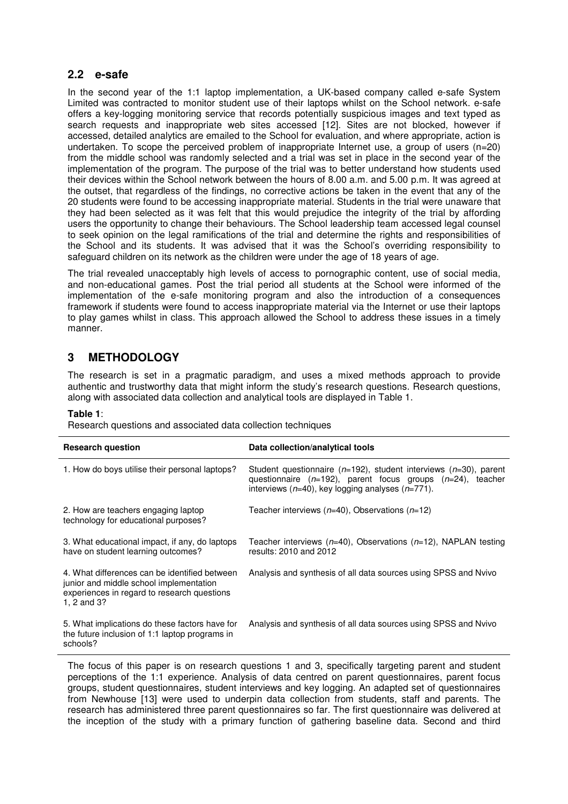## **2.2 e-safe**

In the second year of the 1:1 laptop implementation, a UK-based company called e-safe System Limited was contracted to monitor student use of their laptops whilst on the School network. e-safe offers a key-logging monitoring service that records potentially suspicious images and text typed as search requests and inappropriate web sites accessed [12]. Sites are not blocked, however if accessed, detailed analytics are emailed to the School for evaluation, and where appropriate, action is undertaken. To scope the perceived problem of inappropriate Internet use, a group of users  $(n=20)$ from the middle school was randomly selected and a trial was set in place in the second year of the implementation of the program. The purpose of the trial was to better understand how students used their devices within the School network between the hours of 8.00 a.m. and 5.00 p.m. It was agreed at the outset, that regardless of the findings, no corrective actions be taken in the event that any of the 20 students were found to be accessing inappropriate material. Students in the trial were unaware that they had been selected as it was felt that this would prejudice the integrity of the trial by affording users the opportunity to change their behaviours. The School leadership team accessed legal counsel to seek opinion on the legal ramifications of the trial and determine the rights and responsibilities of the School and its students. It was advised that it was the School's overriding responsibility to safeguard children on its network as the children were under the age of 18 years of age.

The trial revealed unacceptably high levels of access to pornographic content, use of social media, and non-educational games. Post the trial period all students at the School were informed of the implementation of the e-safe monitoring program and also the introduction of a consequences framework if students were found to access inappropriate material via the Internet or use their laptops to play games whilst in class. This approach allowed the School to address these issues in a timely manner.

# **3 METHODOLOGY**

The research is set in a pragmatic paradigm, and uses a mixed methods approach to provide authentic and trustworthy data that might inform the study's research questions. Research questions, along with associated data collection and analytical tools are displayed in Table 1.

#### **Table 1**:

Research questions and associated data collection techniques

| <b>Research question</b>                                                                                                                               | Data collection/analytical tools                                                                                                                                                                         |
|--------------------------------------------------------------------------------------------------------------------------------------------------------|----------------------------------------------------------------------------------------------------------------------------------------------------------------------------------------------------------|
| 1. How do boys utilise their personal laptops?                                                                                                         | Student questionnaire ( $n=192$ ), student interviews ( $n=30$ ), parent<br>questionnaire $(n=192)$ , parent focus groups $(n=24)$ , teacher<br>interviews ( $n=40$ ), key logging analyses ( $n=771$ ). |
| 2. How are teachers engaging laptop<br>technology for educational purposes?                                                                            | Teacher interviews $(n=40)$ , Observations $(n=12)$                                                                                                                                                      |
| 3. What educational impact, if any, do laptops<br>have on student learning outcomes?                                                                   | Teacher interviews ( $n=40$ ), Observations ( $n=12$ ), NAPLAN testing<br>results: 2010 and 2012                                                                                                         |
| 4. What differences can be identified between<br>junior and middle school implementation<br>experiences in regard to research questions<br>1, 2 and 3? | Analysis and synthesis of all data sources using SPSS and Nvivo                                                                                                                                          |
| 5. What implications do these factors have for<br>the future inclusion of 1:1 laptop programs in<br>schools?                                           | Analysis and synthesis of all data sources using SPSS and Nvivo                                                                                                                                          |

The focus of this paper is on research questions 1 and 3, specifically targeting parent and student perceptions of the 1:1 experience. Analysis of data centred on parent questionnaires, parent focus groups, student questionnaires, student interviews and key logging. An adapted set of questionnaires from Newhouse [13] were used to underpin data collection from students, staff and parents. The research has administered three parent questionnaires so far. The first questionnaire was delivered at the inception of the study with a primary function of gathering baseline data. Second and third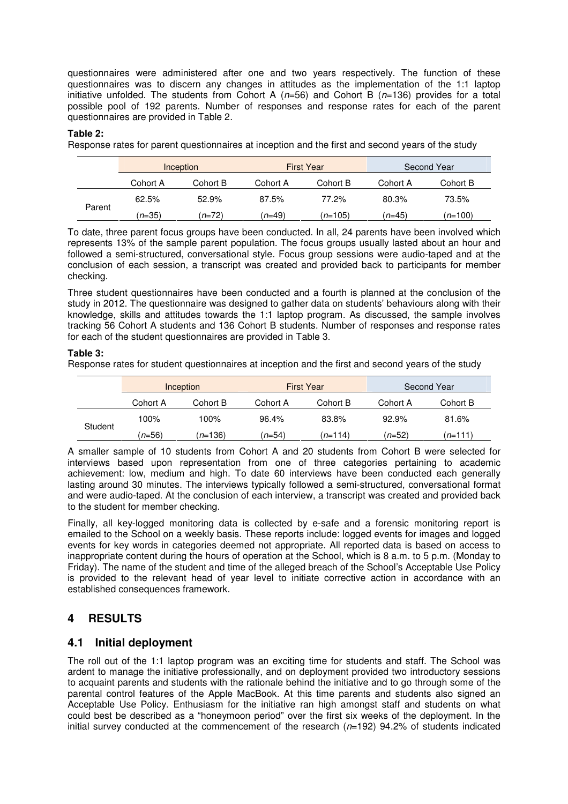questionnaires were administered after one and two years respectively. The function of these questionnaires was to discern any changes in attitudes as the implementation of the 1:1 laptop initiative unfolded. The students from Cohort A ( $n=56$ ) and Cohort B ( $n=136$ ) provides for a total possible pool of 192 parents. Number of responses and response rates for each of the parent questionnaires are provided in Table 2.

#### **Table 2:**

Response rates for parent questionnaires at inception and the first and second years of the study

|        | Inception |          | <b>First Year</b> |                | Second Year |           |
|--------|-----------|----------|-------------------|----------------|-------------|-----------|
|        | Cohort A  | Cohort B | Cohort A          | Cohort B       | Cohort A    | Cohort B  |
| Parent | 62.5%     | 52.9%    | 87.5%             | 77.2%          | 80.3%       | 73.5%     |
|        | $n = 35$  | $(n=72)$ | (n=49)            | <i>n</i> =105) | $(n=45)$    | $(n=100)$ |

To date, three parent focus groups have been conducted. In all, 24 parents have been involved which represents 13% of the sample parent population. The focus groups usually lasted about an hour and followed a semi-structured, conversational style. Focus group sessions were audio-taped and at the conclusion of each session, a transcript was created and provided back to participants for member checking.

Three student questionnaires have been conducted and a fourth is planned at the conclusion of the study in 2012. The questionnaire was designed to gather data on students' behaviours along with their knowledge, skills and attitudes towards the 1:1 laptop program. As discussed, the sample involves tracking 56 Cohort A students and 136 Cohort B students. Number of responses and response rates for each of the student questionnaires are provided in Table 3.

#### **Table 3:**

Response rates for student questionnaires at inception and the first and second years of the study

|         | Inception |                  | <b>First Year</b> |           | Second Year |          |
|---------|-----------|------------------|-------------------|-----------|-------------|----------|
|         | Cohort A  | Cohort B         | Cohort A          | Cohort B  | Cohort A    | Cohort B |
| Student | 100%      | 100%             | 96.4%             | 83.8%     | 92.9%       | 81.6%    |
|         | $(n=56)$  | ( <i>n</i> =136) | (n=54)            | $(n=114)$ | $n = 52$    | (n=111)  |

A smaller sample of 10 students from Cohort A and 20 students from Cohort B were selected for interviews based upon representation from one of three categories pertaining to academic achievement: low, medium and high. To date 60 interviews have been conducted each generally lasting around 30 minutes. The interviews typically followed a semi-structured, conversational format and were audio-taped. At the conclusion of each interview, a transcript was created and provided back to the student for member checking.

Finally, all key-logged monitoring data is collected by e-safe and a forensic monitoring report is emailed to the School on a weekly basis. These reports include: logged events for images and logged events for key words in categories deemed not appropriate. All reported data is based on access to inappropriate content during the hours of operation at the School, which is 8 a.m. to 5 p.m. (Monday to Friday). The name of the student and time of the alleged breach of the School's Acceptable Use Policy is provided to the relevant head of year level to initiate corrective action in accordance with an established consequences framework.

# **4 RESULTS**

## **4.1 Initial deployment**

The roll out of the 1:1 laptop program was an exciting time for students and staff. The School was ardent to manage the initiative professionally, and on deployment provided two introductory sessions to acquaint parents and students with the rationale behind the initiative and to go through some of the parental control features of the Apple MacBook. At this time parents and students also signed an Acceptable Use Policy. Enthusiasm for the initiative ran high amongst staff and students on what could best be described as a "honeymoon period" over the first six weeks of the deployment. In the initial survey conducted at the commencement of the research  $(n=192)$  94.2% of students indicated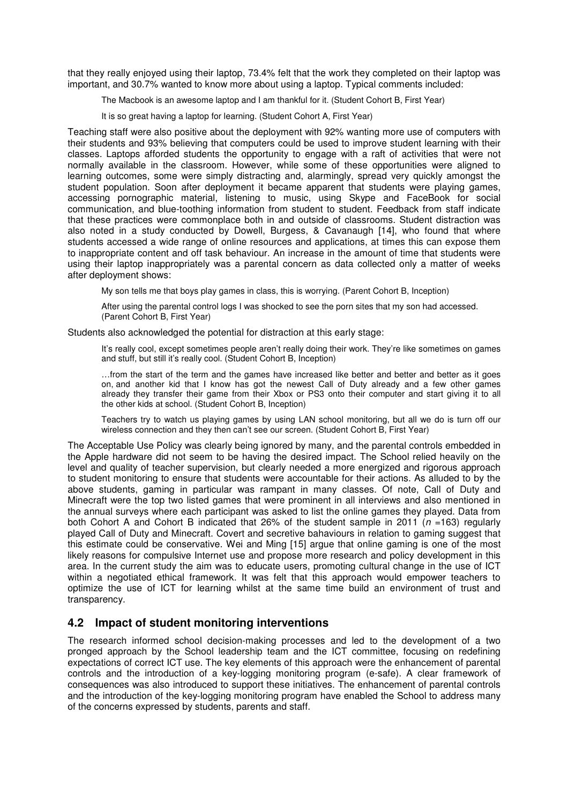that they really enjoyed using their laptop, 73.4% felt that the work they completed on their laptop was important, and 30.7% wanted to know more about using a laptop. Typical comments included:

The Macbook is an awesome laptop and I am thankful for it. (Student Cohort B, First Year)

It is so great having a laptop for learning. (Student Cohort A, First Year)

Teaching staff were also positive about the deployment with 92% wanting more use of computers with their students and 93% believing that computers could be used to improve student learning with their classes. Laptops afforded students the opportunity to engage with a raft of activities that were not normally available in the classroom. However, while some of these opportunities were aligned to learning outcomes, some were simply distracting and, alarmingly, spread very quickly amongst the student population. Soon after deployment it became apparent that students were playing games, accessing pornographic material, listening to music, using Skype and FaceBook for social communication, and blue-toothing information from student to student. Feedback from staff indicate that these practices were commonplace both in and outside of classrooms. Student distraction was also noted in a study conducted by Dowell, Burgess, & Cavanaugh [14], who found that where students accessed a wide range of online resources and applications, at times this can expose them to inappropriate content and off task behaviour. An increase in the amount of time that students were using their laptop inappropriately was a parental concern as data collected only a matter of weeks after deployment shows:

My son tells me that boys play games in class, this is worrying. (Parent Cohort B, Inception)

After using the parental control logs I was shocked to see the porn sites that my son had accessed. (Parent Cohort B, First Year)

Students also acknowledged the potential for distraction at this early stage:

It's really cool, except sometimes people aren't really doing their work. They're like sometimes on games and stuff, but still it's really cool. (Student Cohort B, Inception)

…from the start of the term and the games have increased like better and better and better as it goes on, and another kid that I know has got the newest Call of Duty already and a few other games already they transfer their game from their Xbox or PS3 onto their computer and start giving it to all the other kids at school. (Student Cohort B, Inception)

Teachers try to watch us playing games by using LAN school monitoring, but all we do is turn off our wireless connection and they then can't see our screen. (Student Cohort B, First Year)

The Acceptable Use Policy was clearly being ignored by many, and the parental controls embedded in the Apple hardware did not seem to be having the desired impact. The School relied heavily on the level and quality of teacher supervision, but clearly needed a more energized and rigorous approach to student monitoring to ensure that students were accountable for their actions. As alluded to by the above students, gaming in particular was rampant in many classes. Of note, Call of Duty and Minecraft were the top two listed games that were prominent in all interviews and also mentioned in the annual surveys where each participant was asked to list the online games they played. Data from both Cohort A and Cohort B indicated that 26% of the student sample in 2011 ( $n = 163$ ) regularly played Call of Duty and Minecraft. Covert and secretive bahaviours in relation to gaming suggest that this estimate could be conservative. Wei and Ming [15] argue that online gaming is one of the most likely reasons for compulsive Internet use and propose more research and policy development in this area. In the current study the aim was to educate users, promoting cultural change in the use of ICT within a negotiated ethical framework. It was felt that this approach would empower teachers to optimize the use of ICT for learning whilst at the same time build an environment of trust and transparency.

# **4.2 Impact of student monitoring interventions**

The research informed school decision-making processes and led to the development of a two pronged approach by the School leadership team and the ICT committee, focusing on redefining expectations of correct ICT use. The key elements of this approach were the enhancement of parental controls and the introduction of a key-logging monitoring program (e-safe). A clear framework of consequences was also introduced to support these initiatives. The enhancement of parental controls and the introduction of the key-logging monitoring program have enabled the School to address many of the concerns expressed by students, parents and staff.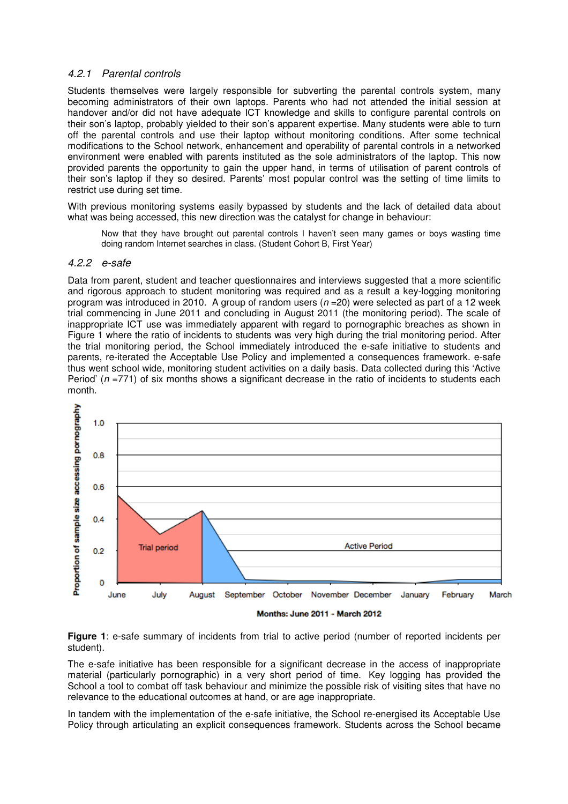### 4.2.1 Parental controls

Students themselves were largely responsible for subverting the parental controls system, many becoming administrators of their own laptops. Parents who had not attended the initial session at handover and/or did not have adequate ICT knowledge and skills to configure parental controls on their son's laptop, probably yielded to their son's apparent expertise. Many students were able to turn off the parental controls and use their laptop without monitoring conditions. After some technical modifications to the School network, enhancement and operability of parental controls in a networked environment were enabled with parents instituted as the sole administrators of the laptop. This now provided parents the opportunity to gain the upper hand, in terms of utilisation of parent controls of their son's laptop if they so desired. Parents' most popular control was the setting of time limits to restrict use during set time.

With previous monitoring systems easily bypassed by students and the lack of detailed data about what was being accessed, this new direction was the catalyst for change in behaviour:

Now that they have brought out parental controls I haven't seen many games or boys wasting time doing random Internet searches in class. (Student Cohort B, First Year)

#### 4.2.2 e-safe

Data from parent, student and teacher questionnaires and interviews suggested that a more scientific and rigorous approach to student monitoring was required and as a result a key-logging monitoring program was introduced in 2010. A group of random users ( $n = 20$ ) were selected as part of a 12 week trial commencing in June 2011 and concluding in August 2011 (the monitoring period). The scale of inappropriate ICT use was immediately apparent with regard to pornographic breaches as shown in Figure 1 where the ratio of incidents to students was very high during the trial monitoring period. After the trial monitoring period, the School immediately introduced the e-safe initiative to students and parents, re-iterated the Acceptable Use Policy and implemented a consequences framework. e-safe thus went school wide, monitoring student activities on a daily basis. Data collected during this 'Active Period' ( $n = 771$ ) of six months shows a significant decrease in the ratio of incidents to students each month.



**Figure 1**: e-safe summary of incidents from trial to active period (number of reported incidents per student).

The e-safe initiative has been responsible for a significant decrease in the access of inappropriate material (particularly pornographic) in a very short period of time. Key logging has provided the School a tool to combat off task behaviour and minimize the possible risk of visiting sites that have no relevance to the educational outcomes at hand, or are age inappropriate.

In tandem with the implementation of the e-safe initiative, the School re-energised its Acceptable Use Policy through articulating an explicit consequences framework. Students across the School became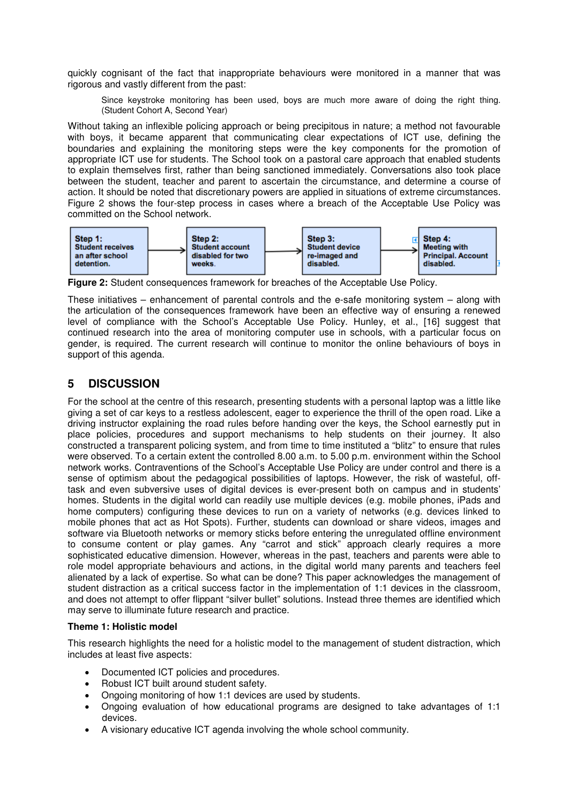quickly cognisant of the fact that inappropriate behaviours were monitored in a manner that was rigorous and vastly different from the past:

Since keystroke monitoring has been used, boys are much more aware of doing the right thing. (Student Cohort A, Second Year)

Without taking an inflexible policing approach or being precipitous in nature; a method not favourable with boys, it became apparent that communicating clear expectations of ICT use, defining the boundaries and explaining the monitoring steps were the key components for the promotion of appropriate ICT use for students. The School took on a pastoral care approach that enabled students to explain themselves first, rather than being sanctioned immediately. Conversations also took place between the student, teacher and parent to ascertain the circumstance, and determine a course of action. It should be noted that discretionary powers are applied in situations of extreme circumstances. Figure 2 shows the four-step process in cases where a breach of the Acceptable Use Policy was committed on the School network.



**Figure 2:** Student consequences framework for breaches of the Acceptable Use Policy.

These initiatives – enhancement of parental controls and the e-safe monitoring system – along with the articulation of the consequences framework have been an effective way of ensuring a renewed level of compliance with the School's Acceptable Use Policy. Hunley, et al., [16] suggest that continued research into the area of monitoring computer use in schools, with a particular focus on gender, is required. The current research will continue to monitor the online behaviours of boys in support of this agenda.

# **5 DISCUSSION**

For the school at the centre of this research, presenting students with a personal laptop was a little like giving a set of car keys to a restless adolescent, eager to experience the thrill of the open road. Like a driving instructor explaining the road rules before handing over the keys, the School earnestly put in place policies, procedures and support mechanisms to help students on their journey. It also constructed a transparent policing system, and from time to time instituted a "blitz" to ensure that rules were observed. To a certain extent the controlled 8.00 a.m. to 5.00 p.m. environment within the School network works. Contraventions of the School's Acceptable Use Policy are under control and there is a sense of optimism about the pedagogical possibilities of laptops. However, the risk of wasteful, offtask and even subversive uses of digital devices is ever-present both on campus and in students' homes. Students in the digital world can readily use multiple devices (e.g. mobile phones, iPads and home computers) configuring these devices to run on a variety of networks (e.g. devices linked to mobile phones that act as Hot Spots). Further, students can download or share videos, images and software via Bluetooth networks or memory sticks before entering the unregulated offline environment to consume content or play games. Any "carrot and stick" approach clearly requires a more sophisticated educative dimension. However, whereas in the past, teachers and parents were able to role model appropriate behaviours and actions, in the digital world many parents and teachers feel alienated by a lack of expertise. So what can be done? This paper acknowledges the management of student distraction as a critical success factor in the implementation of 1:1 devices in the classroom, and does not attempt to offer flippant "silver bullet" solutions. Instead three themes are identified which may serve to illuminate future research and practice.

## **Theme 1: Holistic model**

This research highlights the need for a holistic model to the management of student distraction, which includes at least five aspects:

- Documented ICT policies and procedures.
- Robust ICT built around student safety.
- Ongoing monitoring of how 1:1 devices are used by students.
- Ongoing evaluation of how educational programs are designed to take advantages of 1:1 devices.
- A visionary educative ICT agenda involving the whole school community.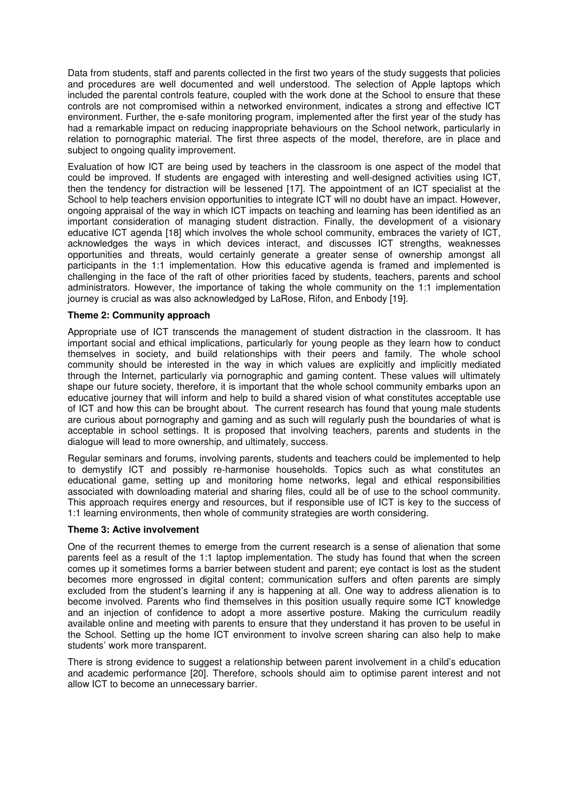Data from students, staff and parents collected in the first two years of the study suggests that policies and procedures are well documented and well understood. The selection of Apple laptops which included the parental controls feature, coupled with the work done at the School to ensure that these controls are not compromised within a networked environment, indicates a strong and effective ICT environment. Further, the e-safe monitoring program, implemented after the first year of the study has had a remarkable impact on reducing inappropriate behaviours on the School network, particularly in relation to pornographic material. The first three aspects of the model, therefore, are in place and subject to ongoing quality improvement.

Evaluation of how ICT are being used by teachers in the classroom is one aspect of the model that could be improved. If students are engaged with interesting and well-designed activities using ICT, then the tendency for distraction will be lessened [17]. The appointment of an ICT specialist at the School to help teachers envision opportunities to integrate ICT will no doubt have an impact. However, ongoing appraisal of the way in which ICT impacts on teaching and learning has been identified as an important consideration of managing student distraction. Finally, the development of a visionary educative ICT agenda [18] which involves the whole school community, embraces the variety of ICT, acknowledges the ways in which devices interact, and discusses ICT strengths, weaknesses opportunities and threats, would certainly generate a greater sense of ownership amongst all participants in the 1:1 implementation. How this educative agenda is framed and implemented is challenging in the face of the raft of other priorities faced by students, teachers, parents and school administrators. However, the importance of taking the whole community on the 1:1 implementation journey is crucial as was also acknowledged by LaRose, Rifon, and Enbody [19].

#### **Theme 2: Community approach**

Appropriate use of ICT transcends the management of student distraction in the classroom. It has important social and ethical implications, particularly for young people as they learn how to conduct themselves in society, and build relationships with their peers and family. The whole school community should be interested in the way in which values are explicitly and implicitly mediated through the Internet, particularly via pornographic and gaming content. These values will ultimately shape our future society, therefore, it is important that the whole school community embarks upon an educative journey that will inform and help to build a shared vision of what constitutes acceptable use of ICT and how this can be brought about. The current research has found that young male students are curious about pornography and gaming and as such will regularly push the boundaries of what is acceptable in school settings. It is proposed that involving teachers, parents and students in the dialogue will lead to more ownership, and ultimately, success.

Regular seminars and forums, involving parents, students and teachers could be implemented to help to demystify ICT and possibly re-harmonise households. Topics such as what constitutes an educational game, setting up and monitoring home networks, legal and ethical responsibilities associated with downloading material and sharing files, could all be of use to the school community. This approach requires energy and resources, but if responsible use of ICT is key to the success of 1:1 learning environments, then whole of community strategies are worth considering.

#### **Theme 3: Active involvement**

One of the recurrent themes to emerge from the current research is a sense of alienation that some parents feel as a result of the 1:1 laptop implementation. The study has found that when the screen comes up it sometimes forms a barrier between student and parent; eye contact is lost as the student becomes more engrossed in digital content; communication suffers and often parents are simply excluded from the student's learning if any is happening at all. One way to address alienation is to become involved. Parents who find themselves in this position usually require some ICT knowledge and an injection of confidence to adopt a more assertive posture. Making the curriculum readily available online and meeting with parents to ensure that they understand it has proven to be useful in the School. Setting up the home ICT environment to involve screen sharing can also help to make students' work more transparent.

There is strong evidence to suggest a relationship between parent involvement in a child's education and academic performance [20]. Therefore, schools should aim to optimise parent interest and not allow ICT to become an unnecessary barrier.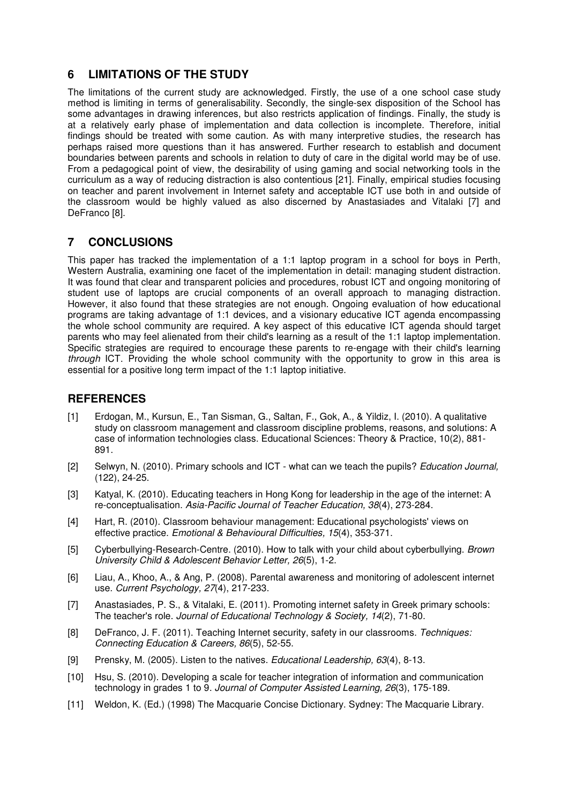# **6 LIMITATIONS OF THE STUDY**

The limitations of the current study are acknowledged. Firstly, the use of a one school case study method is limiting in terms of generalisability. Secondly, the single-sex disposition of the School has some advantages in drawing inferences, but also restricts application of findings. Finally, the study is at a relatively early phase of implementation and data collection is incomplete. Therefore, initial findings should be treated with some caution. As with many interpretive studies, the research has perhaps raised more questions than it has answered. Further research to establish and document boundaries between parents and schools in relation to duty of care in the digital world may be of use. From a pedagogical point of view, the desirability of using gaming and social networking tools in the curriculum as a way of reducing distraction is also contentious [21]. Finally, empirical studies focusing on teacher and parent involvement in Internet safety and acceptable ICT use both in and outside of the classroom would be highly valued as also discerned by Anastasiades and Vitalaki [7] and DeFranco [8].

# **7 CONCLUSIONS**

This paper has tracked the implementation of a 1:1 laptop program in a school for boys in Perth, Western Australia, examining one facet of the implementation in detail: managing student distraction. It was found that clear and transparent policies and procedures, robust ICT and ongoing monitoring of student use of laptops are crucial components of an overall approach to managing distraction. However, it also found that these strategies are not enough. Ongoing evaluation of how educational programs are taking advantage of 1:1 devices, and a visionary educative ICT agenda encompassing the whole school community are required. A key aspect of this educative ICT agenda should target parents who may feel alienated from their child's learning as a result of the 1:1 laptop implementation. Specific strategies are required to encourage these parents to re-engage with their child's learning through ICT. Providing the whole school community with the opportunity to grow in this area is essential for a positive long term impact of the 1:1 laptop initiative.

# **REFERENCES**

- [1] Erdogan, M., Kursun, E., Tan Sisman, G., Saltan, F., Gok, A., & Yildiz, I. (2010). A qualitative study on classroom management and classroom discipline problems, reasons, and solutions: A case of information technologies class. Educational Sciences: Theory & Practice, 10(2), 881- 891.
- [2] Selwyn, N. (2010). Primary schools and ICT what can we teach the pupils? *Education Journal*, (122), 24-25.
- [3] Katyal, K. (2010). Educating teachers in Hong Kong for leadership in the age of the internet: A re-conceptualisation. Asia-Pacific Journal of Teacher Education, 38(4), 273-284.
- [4] Hart, R. (2010). Classroom behaviour management: Educational psychologists' views on effective practice. Emotional & Behavioural Difficulties, 15(4), 353-371.
- [5] Cyberbullying-Research-Centre. (2010). How to talk with your child about cyberbullying. Brown University Child & Adolescent Behavior Letter, 26(5), 1-2.
- [6] Liau, A., Khoo, A., & Ang, P. (2008). Parental awareness and monitoring of adolescent internet use. Current Psychology, 27(4), 217-233.
- [7] Anastasiades, P. S., & Vitalaki, E. (2011). Promoting internet safety in Greek primary schools: The teacher's role. Journal of Educational Technology & Society, 14(2), 71-80.
- [8] DeFranco, J. F. (2011). Teaching Internet security, safety in our classrooms. Techniques: Connecting Education & Careers, 86(5), 52-55.
- [9] Prensky, M. (2005). Listen to the natives. Educational Leadership, 63(4), 8-13.
- [10] Hsu, S. (2010). Developing a scale for teacher integration of information and communication technology in grades 1 to 9. Journal of Computer Assisted Learning, 26(3), 175-189.
- [11] Weldon, K. (Ed.) (1998) The Macquarie Concise Dictionary. Sydney: The Macquarie Library.